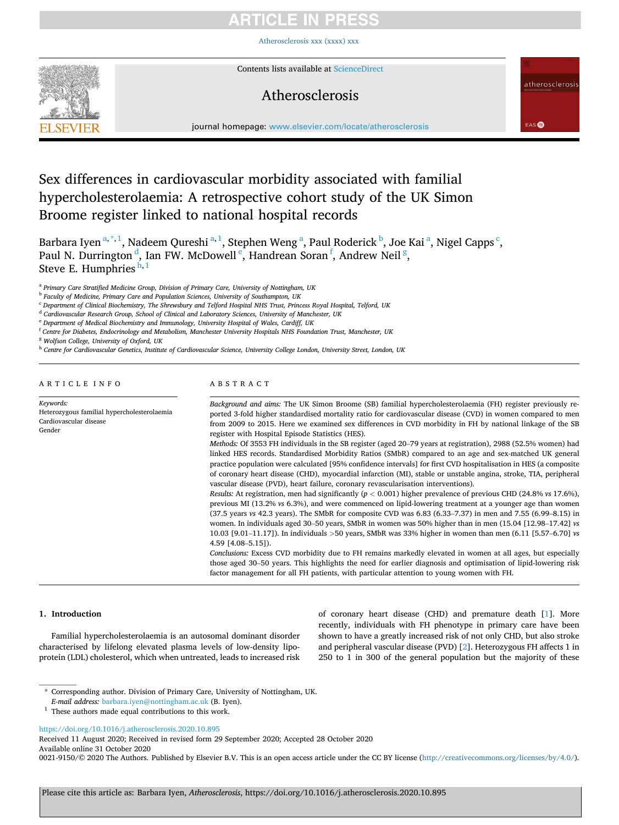# ITICI E IN PRE

[Atherosclerosis xxx \(xxxx\) xxx](https://doi.org/10.1016/j.atherosclerosis.2020.10.895)



Contents lists available at [ScienceDirect](www.sciencedirect.com/science/journal/00219150)

# Atherosclerosis

atherosclerosis

EAS<sup>O</sup>

journal homepage: [www.elsevier.com/locate/atherosclerosis](https://www.elsevier.com/locate/atherosclerosis) 

# Sex differences in cardiovascular morbidity associated with familial hypercholesterolaemia: A retrospective cohort study of the UK Simon Broome register linked to national hospital records

Barbara Iyen <sup>a, \*, 1</sup>, Nadeem Qureshi <sup>a, 1</sup>, Stephen Weng <sup>a</sup>, Paul Roderick <sup>b</sup>, Joe Kai <sup>a</sup>, Nigel Capps <sup>c</sup>, Paul N. Durrington<sup>d</sup>, Ian FW. McDowell<sup>e</sup>, Handrean Soran<sup>f</sup>, Andrew Neil<sup>g</sup>, Steve E. Humphries $^{\mathrm{h},1}$ 

<sup>a</sup> *Primary Care Stratified Medicine Group, Division of Primary Care, University of Nottingham, UK* 

<sup>b</sup> *Faculty of Medicine, Primary Care and Population Sciences, University of Southampton, UK* 

<sup>d</sup> *Cardiovascular Research Group, School of Clinical and Laboratory Sciences, University of Manchester, UK* 

<sup>e</sup> *Department of Medical Biochemistry and Immunology, University Hospital of Wales, Cardiff, UK* 

<sup>f</sup> *Centre for Diabetes, Endocrinology and Metabolism, Manchester University Hospitals NHS Foundation Trust, Manchester, UK* 

<sup>g</sup> *Wolfson College, University of Oxford, UK* 

Heterozygous familial hypercholesterolaemia

<sup>h</sup> *Centre for Cardiovascular Genetics, Institute of Cardiovascular Science, University College London, University Street, London, UK* 

ARTICLE INFO

Cardiovascular disease

*Keywords:* 

Gender

# ABSTRACT

*Background and aims:* The UK Simon Broome (SB) familial hypercholesterolaemia (FH) register previously reported 3-fold higher standardised mortality ratio for cardiovascular disease (CVD) in women compared to men from 2009 to 2015. Here we examined sex differences in CVD morbidity in FH by national linkage of the SB register with Hospital Episode Statistics (HES).

*Methods:* Of 3553 FH individuals in the SB register (aged 20–79 years at registration), 2988 (52.5% women) had linked HES records. Standardised Morbidity Ratios (SMbR) compared to an age and sex-matched UK general practice population were calculated [95% confidence intervals] for first CVD hospitalisation in HES (a composite of coronary heart disease (CHD), myocardial infarction (MI), stable or unstable angina, stroke, TIA, peripheral vascular disease (PVD), heart failure, coronary revascularisation interventions).

*Results:* At registration, men had significantly (*p <* 0.001) higher prevalence of previous CHD (24.8% *vs* 17.6%), previous MI (13.2% *vs* 6.3%), and were commenced on lipid-lowering treatment at a younger age than women (37.5 years *vs* 42.3 years). The SMbR for composite CVD was 6.83 (6.33–7.37) in men and 7.55 (6.99–8.15) in women. In individuals aged 30–50 years, SMbR in women was 50% higher than in men (15.04 [12.98–17.42] *vs*  10.03 [9.01–11.17]). In individuals *>*50 years, SMbR was 33% higher in women than men (6.11 [5.57–6.70] *vs*  4.59 [4.08–5.15]).

*Conclusions:* Excess CVD morbidity due to FH remains markedly elevated in women at all ages, but especially those aged 30–50 years. This highlights the need for earlier diagnosis and optimisation of lipid-lowering risk factor management for all FH patients, with particular attention to young women with FH.

# **1. Introduction**

Familial hypercholesterolaemia is an autosomal dominant disorder characterised by lifelong elevated plasma levels of low-density lipoprotein (LDL) cholesterol, which when untreated, leads to increased risk of coronary heart disease (CHD) and premature death [\[1\]](#page-6-0). More recently, individuals with FH phenotype in primary care have been shown to have a greatly increased risk of not only CHD, but also stroke and peripheral vascular disease (PVD) [\[2\]](#page-6-0). Heterozygous FH affects 1 in 250 to 1 in 300 of the general population but the majority of these

Available online 31 October 2020 Received 11 August 2020; Received in revised form 29 September 2020; Accepted 28 October 2020

0021-9150/© 2020 The Authors. Published by Elsevier B.V. This is an open access article under the CC BY license [\(http://creativecommons.org/licenses/by/4.0/\)](http://creativecommons.org/licenses/by/4.0/).

<sup>c</sup> *Department of Clinical Biochemistry, The Shrewsbury and Telford Hospital NHS Trust, Princess Royal Hospital, Telford, UK* 

<sup>\*</sup> Corresponding author. Division of Primary Care, University of Nottingham, UK.

<sup>&</sup>lt;sup>1</sup> These authors made equal contributions to this work.

<https://doi.org/10.1016/j.atherosclerosis.2020.10.895>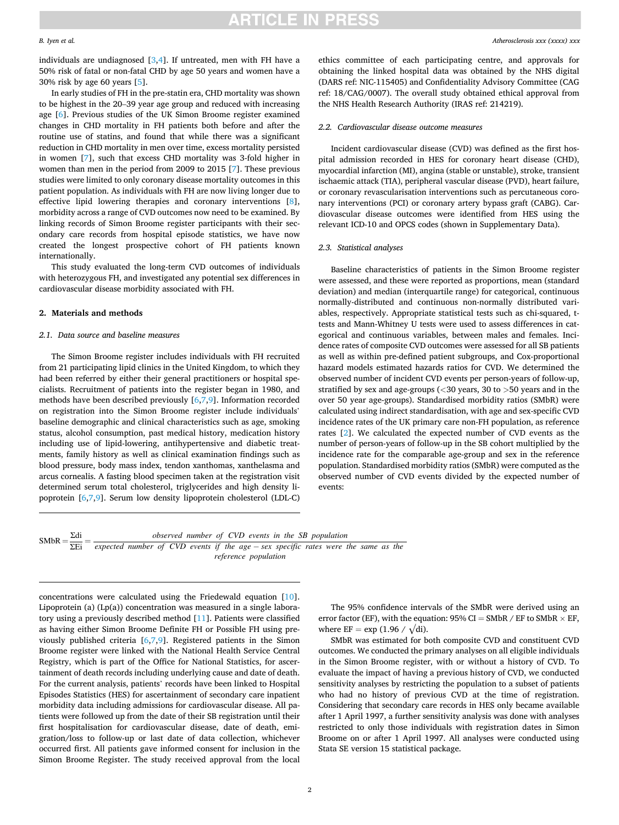# **ARTICLE IN PRESS**

#### *B. Iyen et al.*

individuals are undiagnosed  $[3,4]$  $[3,4]$ . If untreated, men with FH have a 50% risk of fatal or non-fatal CHD by age 50 years and women have a 30% risk by age 60 years [\[5\]](#page-6-0).

In early studies of FH in the pre-statin era, CHD mortality was shown to be highest in the 20–39 year age group and reduced with increasing age [\[6\]](#page-6-0). Previous studies of the UK Simon Broome register examined changes in CHD mortality in FH patients both before and after the routine use of statins, and found that while there was a significant reduction in CHD mortality in men over time, excess mortality persisted in women [[7](#page-6-0)], such that excess CHD mortality was 3-fold higher in women than men in the period from 2009 to 2015 [\[7\]](#page-6-0). These previous studies were limited to only coronary disease mortality outcomes in this patient population. As individuals with FH are now living longer due to effective lipid lowering therapies and coronary interventions [[8](#page-6-0)], morbidity across a range of CVD outcomes now need to be examined. By linking records of Simon Broome register participants with their secondary care records from hospital episode statistics, we have now created the longest prospective cohort of FH patients known internationally.

This study evaluated the long-term CVD outcomes of individuals with heterozygous FH, and investigated any potential sex differences in cardiovascular disease morbidity associated with FH.

#### **2. Materials and methods**

#### *2.1. Data source and baseline measures*

The Simon Broome register includes individuals with FH recruited from 21 participating lipid clinics in the United Kingdom, to which they had been referred by either their general practitioners or hospital specialists. Recruitment of patients into the register began in 1980, and methods have been described previously [\[6,7](#page-6-0),[9](#page-6-0)]. Information recorded on registration into the Simon Broome register include individuals' baseline demographic and clinical characteristics such as age, smoking status, alcohol consumption, past medical history, medication history including use of lipid-lowering, antihypertensive and diabetic treatments, family history as well as clinical examination findings such as blood pressure, body mass index, tendon xanthomas, xanthelasma and arcus cornealis. A fasting blood specimen taken at the registration visit determined serum total cholesterol, triglycerides and high density lipoprotein [[6,7,9\]](#page-6-0). Serum low density lipoprotein cholesterol (LDL-C) ethics committee of each participating centre, and approvals for obtaining the linked hospital data was obtained by the NHS digital (DARS ref: NIC-115405) and Confidentiality Advisory Committee (CAG ref: 18/CAG/0007). The overall study obtained ethical approval from the NHS Health Research Authority (IRAS ref: 214219).

#### *2.2. Cardiovascular disease outcome measures*

Incident cardiovascular disease (CVD) was defined as the first hospital admission recorded in HES for coronary heart disease (CHD), myocardial infarction (MI), angina (stable or unstable), stroke, transient ischaemic attack (TIA), peripheral vascular disease (PVD), heart failure, or coronary revascularisation interventions such as percutaneous coronary interventions (PCI) or coronary artery bypass graft (CABG). Cardiovascular disease outcomes were identified from HES using the relevant ICD-10 and OPCS codes (shown in Supplementary Data).

#### *2.3. Statistical analyses*

Baseline characteristics of patients in the Simon Broome register were assessed, and these were reported as proportions, mean (standard deviation) and median (interquartile range) for categorical, continuous normally-distributed and continuous non-normally distributed variables, respectively. Appropriate statistical tests such as chi-squared, ttests and Mann-Whitney U tests were used to assess differences in categorical and continuous variables, between males and females. Incidence rates of composite CVD outcomes were assessed for all SB patients as well as within pre-defined patient subgroups, and Cox-proportional hazard models estimated hazards ratios for CVD. We determined the observed number of incident CVD events per person-years of follow-up, stratified by sex and age-groups (*<*30 years, 30 to *>*50 years and in the over 50 year age-groups). Standardised morbidity ratios (SMbR) were calculated using indirect standardisation, with age and sex-specific CVD incidence rates of the UK primary care non-FH population, as reference rates [[2](#page-6-0)]. We calculated the expected number of CVD events as the number of person-years of follow-up in the SB cohort multiplied by the incidence rate for the comparable age-group and sex in the reference population. Standardised morbidity ratios (SMbR) were computed as the observed number of CVD events divided by the expected number of events:

```
SMBR = \frac{\Sigma di}{\Sigma Ei} = \frac{observed number of CVD events in the SB population}{expected number of CVD events if the age - sex specific rates were the same as thereference population
```
concentrations were calculated using the Friedewald equation [\[10](#page-6-0)]. Lipoprotein (a) (Lp(a)) concentration was measured in a single laboratory using a previously described method [\[11](#page-6-0)]. Patients were classified as having either Simon Broome Definite FH or Possible FH using previously published criteria [[6,7,9\]](#page-6-0). Registered patients in the Simon Broome register were linked with the National Health Service Central Registry, which is part of the Office for National Statistics, for ascertainment of death records including underlying cause and date of death. For the current analysis, patients' records have been linked to Hospital Episodes Statistics (HES) for ascertainment of secondary care inpatient morbidity data including admissions for cardiovascular disease. All patients were followed up from the date of their SB registration until their first hospitalisation for cardiovascular disease, date of death, emigration/loss to follow-up or last date of data collection, whichever occurred first. All patients gave informed consent for inclusion in the Simon Broome Register. The study received approval from the local

The 95% confidence intervals of the SMbR were derived using an error factor (EF), with the equation:  $95\%$  CI = SMbR / EF to SMbR  $\times$  EF, where  $EF = \exp(1.96 / \sqrt{di}).$ 

SMbR was estimated for both composite CVD and constituent CVD outcomes. We conducted the primary analyses on all eligible individuals in the Simon Broome register, with or without a history of CVD. To evaluate the impact of having a previous history of CVD, we conducted sensitivity analyses by restricting the population to a subset of patients who had no history of previous CVD at the time of registration. Considering that secondary care records in HES only became available after 1 April 1997, a further sensitivity analysis was done with analyses restricted to only those individuals with registration dates in Simon Broome on or after 1 April 1997. All analyses were conducted using Stata SE version 15 statistical package.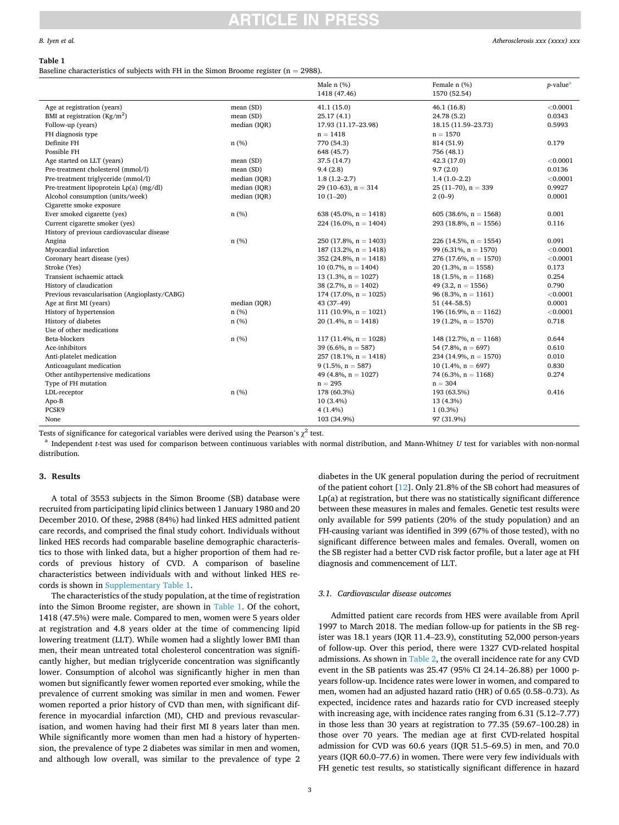#### *B. Iyen et al.*

# ICI E

#### **Table 1**

Baseline characteristics of subjects with FH in the Simon Broome register  $(n = 2988)$ .

|                                               |              | Male $n$ $(\%)$<br>1418 (47.46) | Female n (%)<br>1570 (52.54) | $p$ -value <sup>a</sup> |
|-----------------------------------------------|--------------|---------------------------------|------------------------------|-------------------------|
| Age at registration (years)                   | mean (SD)    | 41.1(15.0)                      | 46.1(16.8)                   | < 0.0001                |
| BMI at registration $(Kg/m2)$                 | mean (SD)    | 25.17(4.1)                      | 24.78 (5.2)                  | 0.0343                  |
| Follow-up (years)                             | median (IQR) | 17.93 (11.17-23.98)             | 18.15 (11.59-23.73)          | 0.5993                  |
| FH diagnosis type                             |              | $n = 1418$                      | $n = 1570$                   |                         |
| Definite FH                                   | n(%)         | 770 (54.3)                      | 814 (51.9)                   | 0.179                   |
| Possible FH                                   |              | 648 (45.7)                      | 756 (48.1)                   |                         |
| Age started on LLT (years)                    | mean (SD)    | 37.5 (14.7)                     | 42.3 (17.0)                  | < 0.0001                |
| Pre-treatment cholesterol (mmol/l)            | mean (SD)    | 9.4(2.8)                        | 9.7(2.0)                     | 0.0136                  |
| Pre-treatment triglyceride (mmol/l)           | median (IQR) | $1.8(1.2 - 2.7)$                | $1.4(1.0-2.2)$               | < 0.0001                |
| Pre-treatment lipoprotein Lp(a) (mg/dl)       | median (IQR) | 29 (10-63), $n = 314$           | $25(11-70)$ , n = 339        | 0.9927                  |
| Alcohol consumption (units/week)              | median (IQR) | $10(1-20)$                      | $2(0-9)$                     | 0.0001                  |
| Cigarette smoke exposure                      |              |                                 |                              |                         |
| Ever smoked cigarette (yes)                   | n(%)         | 638 (45.0%, $n = 1418$ )        | 605 (38.6%, $n = 1568$ )     | 0.001                   |
| Current cigarette smoker (yes)                |              | 224 (16.0%, $n = 1404$ )        | 293 (18.8%, $n = 1556$ )     | 0.116                   |
| History of previous cardiovascular disease    |              |                                 |                              |                         |
| Angina                                        | n(%)         | 250 (17.8%, $n = 1403$ )        | 226 (14.5%, $n = 1554$ )     | 0.091                   |
| Myocardial infarction                         |              | 187 (13.2%, $n = 1418$ )        | 99 (6.31%, $n = 1570$ )      | < 0.0001                |
| Coronary heart disease (yes)                  |              | 352 (24.8%, $n = 1418$ )        | 276 (17.6%, $n = 1570$ )     | < 0.0001                |
| Stroke (Yes)                                  |              | 10 (0.7%, $n = 1404$ )          | $20(1.3\%, n = 1558)$        | 0.173                   |
| Transient ischaemic attack                    |              | 13 (1.3%, $n = 1027$ )          | 18 (1.5%, $n = 1168$ )       | 0.254                   |
| History of claudication                       |              | 38 (2.7%, $n = 1402$ )          | 49 (3.2, $n = 1556$ )        | 0.790                   |
| Previous revascularisation (Angioplasty/CABG) |              | 174 (17.0%, $n = 1025$ )        | 96 (8.3%, $n = 1161$ )       | < 0.0001                |
| Age at first MI (years)                       | median (IQR) | 43 (37-49)                      | 51 $(44 - 58.5)$             | 0.0001                  |
| History of hypertension                       | n(%)         | 111 (10.9%, $n = 1021$ )        | 196 (16.9%, $n = 1162$ )     | < 0.0001                |
| History of diabetes                           | n(%)         | 20 (1.4%, $n = 1418$ )          | 19 $(1.2\%, n = 1570)$       | 0.718                   |
| Use of other medications                      |              |                                 |                              |                         |
| Beta-blockers                                 | n(%)         | 117 (11.4%, $n = 1028$ )        | 148 (12.7%, $n = 1168$ )     | 0.644                   |
| Ace-inhibitors                                |              | 39 (6.6%, $n = 587$ )           | 54 (7.8%, $n = 697$ )        | 0.610                   |
| Anti-platelet medication                      |              | 257 (18.1%, $n = 1418$ )        | 234 (14.9%, $n = 1570$ )     | 0.010                   |
| Anticoagulant medication                      |              | $9(1.5\%, n = 587)$             | 10 $(1.4\%, n = 697)$        | 0.830                   |
| Other antihypertensive medications            |              | 49 (4.8%, $n = 1027$ )          | 74 (6.3%, $n = 1168$ )       | 0.274                   |
| Type of FH mutation                           |              | $n = 295$                       | $n = 304$                    |                         |
| LDL-receptor                                  | n(%)         | 178 (60.3%)                     | 193 (63.5%)                  | 0.416                   |
| Apo-B                                         |              | 10 (3.4%)                       | 13 (4.3%)                    |                         |
| PCSK9                                         |              | 4(1.4%)                         | $1(0.3\%)$                   |                         |
| None                                          |              | 103 (34.9%)                     | 97 (31.9%)                   |                         |

Tests of significance for categorical variables were derived using the Pearson's  $\chi^2$  test.<br><sup>a</sup> Independent *t*-test was used for comparison between continuous variables with normal distribution, and Mann-Whitney *U* te distribution.

## **3. Results**

A total of 3553 subjects in the Simon Broome (SB) database were recruited from participating lipid clinics between 1 January 1980 and 20 December 2010. Of these, 2988 (84%) had linked HES admitted patient care records, and comprised the final study cohort. Individuals without linked HES records had comparable baseline demographic characteristics to those with linked data, but a higher proportion of them had records of previous history of CVD. A comparison of baseline characteristics between individuals with and without linked HES records is shown in Supplementary Table 1.

The characteristics of the study population, at the time of registration into the Simon Broome register, are shown in Table 1. Of the cohort, 1418 (47.5%) were male. Compared to men, women were 5 years older at registration and 4.8 years older at the time of commencing lipid lowering treatment (LLT). While women had a slightly lower BMI than men, their mean untreated total cholesterol concentration was significantly higher, but median triglyceride concentration was significantly lower. Consumption of alcohol was significantly higher in men than women but significantly fewer women reported ever smoking, while the prevalence of current smoking was similar in men and women. Fewer women reported a prior history of CVD than men, with significant difference in myocardial infarction (MI), CHD and previous revascularisation, and women having had their first MI 8 years later than men. While significantly more women than men had a history of hypertension, the prevalence of type 2 diabetes was similar in men and women, and although low overall, was similar to the prevalence of type 2

diabetes in the UK general population during the period of recruitment of the patient cohort [\[12](#page-6-0)]. Only 21.8% of the SB cohort had measures of Lp(a) at registration, but there was no statistically significant difference between these measures in males and females. Genetic test results were only available for 599 patients (20% of the study population) and an FH-causing variant was identified in 399 (67% of those tested), with no significant difference between males and females. Overall, women on the SB register had a better CVD risk factor profile, but a later age at FH diagnosis and commencement of LLT.

#### *3.1. Cardiovascular disease outcomes*

Admitted patient care records from HES were available from April 1997 to March 2018. The median follow-up for patients in the SB register was 18.1 years (IQR 11.4–23.9), constituting 52,000 person-years of follow-up. Over this period, there were 1327 CVD-related hospital admissions. As shown in [Table 2,](#page-3-0) the overall incidence rate for any CVD event in the SB patients was 25.47 (95% CI 24.14–26.88) per 1000 pyears follow-up. Incidence rates were lower in women, and compared to men, women had an adjusted hazard ratio (HR) of 0.65 (0.58–0.73). As expected, incidence rates and hazards ratio for CVD increased steeply with increasing age, with incidence rates ranging from 6.31 (5.12–7.77) in those less than 30 years at registration to 77.35 (59.67–100.28) in those over 70 years. The median age at first CVD-related hospital admission for CVD was 60.6 years (IQR 51.5–69.5) in men, and 70.0 years (IQR 60.0–77.6) in women. There were very few individuals with FH genetic test results, so statistically significant difference in hazard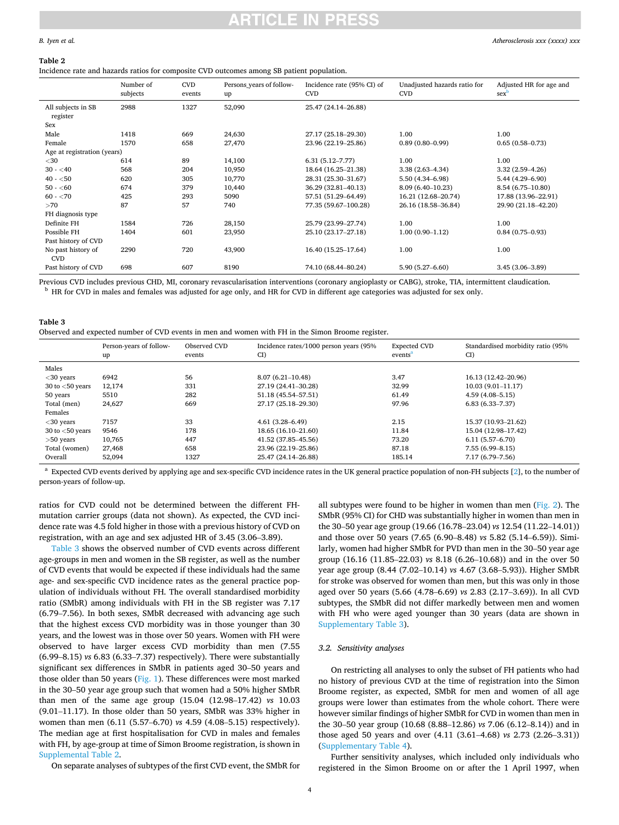## <span id="page-3-0"></span>*B. Iyen et al.*

#### **Table 2**

Incidence rate and hazards ratios for composite CVD outcomes among SB patient population.

|                                  | Number of<br>subjects | <b>CVD</b><br>events | Persons years of follow-<br>up | Incidence rate (95% CI) of<br><b>CVD</b> | Unadjusted hazards ratio for<br><b>CVD</b> | Adjusted HR for age and<br>sex |
|----------------------------------|-----------------------|----------------------|--------------------------------|------------------------------------------|--------------------------------------------|--------------------------------|
| All subjects in SB<br>register   | 2988                  | 1327                 | 52,090                         | 25.47 (24.14-26.88)                      |                                            |                                |
| Sex                              |                       |                      |                                |                                          |                                            |                                |
| Male                             | 1418                  | 669                  | 24,630                         | 27.17 (25.18-29.30)                      | 1.00                                       | 1.00                           |
| Female                           | 1570                  | 658                  | 27,470                         | 23.96 (22.19-25.86)                      | $0.89(0.80 - 0.99)$                        | $0.65(0.58 - 0.73)$            |
| Age at registration (years)      |                       |                      |                                |                                          |                                            |                                |
| $<$ 30                           | 614                   | 89                   | 14,100                         | $6.31(5.12 - 7.77)$                      | 1.00                                       | 1.00                           |
| $30 - 40$                        | 568                   | 204                  | 10,950                         | 18.64 (16.25-21.38)                      | $3.38(2.63 - 4.34)$                        | $3.32(2.59 - 4.26)$            |
| $40 - 50$                        | 620                   | 305                  | 10,770                         | 28.31 (25.30-31.67)                      | 5.50 (4.34–6.98)                           | $5.44(4.29 - 6.90)$            |
| $50 - 60$                        | 674                   | 379                  | 10,440                         | 36.29 (32.81-40.13)                      | $8.09(6.40 - 10.23)$                       | 8.54 (6.75-10.80)              |
| $60 - 270$                       | 425                   | 293                  | 5090                           | 57.51 (51.29-64.49)                      | 16.21 (12.68-20.74)                        | 17.88 (13.96-22.91)            |
| >70                              | 87                    | 57                   | 740                            | 77.35 (59.67-100.28)                     | 26.16 (18.58-36.84)                        | 29.90 (21.18-42.20)            |
| FH diagnosis type                |                       |                      |                                |                                          |                                            |                                |
| Definite FH                      | 1584                  | 726                  | 28,150                         | 25.79 (23.99-27.74)                      | 1.00                                       | 1.00                           |
| Possible FH                      | 1404                  | 601                  | 23,950                         | 25.10 (23.17-27.18)                      | $1.00(0.90 - 1.12)$                        | $0.84(0.75-0.93)$              |
| Past history of CVD              |                       |                      |                                |                                          |                                            |                                |
| No past history of<br><b>CVD</b> | 2290                  | 720                  | 43,900                         | 16.40 (15.25-17.64)                      | 1.00                                       | 1.00                           |
| Past history of CVD              | 698                   | 607                  | 8190                           | 74.10 (68.44-80.24)                      | $5.90(5.27 - 6.60)$                        | $3.45(3.06 - 3.89)$            |

Previous CVD includes previous CHD, MI, coronary revascularisation interventions (coronary angioplasty or CABG), stroke, TIA, intermittent claudication.<br><sup>b</sup> HR for CVD in males and females was adjusted for age only, and HR

| Table 3                                                                                           |
|---------------------------------------------------------------------------------------------------|
| Observed and expected number of CVD events in men and women with FH in the Simon Broome register. |

|                    | Person-years of follow-<br>up | Observed CVD<br>events | Incidence rates/1000 person years (95%<br>CI | <b>Expected CVD</b><br>events <sup>a</sup> | Standardised morbidity ratio (95%)<br>CI) |
|--------------------|-------------------------------|------------------------|----------------------------------------------|--------------------------------------------|-------------------------------------------|
| Males              |                               |                        |                                              |                                            |                                           |
| $<$ 30 years       | 6942                          | 56                     | $8.07(6.21 - 10.48)$                         | 3.47                                       | 16.13 (12.42-20.96)                       |
| 30 to $<$ 50 years | 12,174                        | 331                    | 27.19 (24.41-30.28)                          | 32.99                                      | $10.03(9.01 - 11.17)$                     |
| 50 years           | 5510                          | 282                    | 51.18 (45.54-57.51)                          | 61.49                                      | $4.59(4.08 - 5.15)$                       |
| Total (men)        | 24,627                        | 669                    | 27.17 (25.18-29.30)                          | 97.96                                      | $6.83(6.33 - 7.37)$                       |
| Females            |                               |                        |                                              |                                            |                                           |
| $<$ 30 years       | 7157                          | 33                     | $4.61(3.28 - 6.49)$                          | 2.15                                       | 15.37 (10.93-21.62)                       |
| 30 to $<$ 50 years | 9546                          | 178                    | 18.65 (16.10-21.60)                          | 11.84                                      | 15.04 (12.98-17.42)                       |
| $>50$ years        | 10,765                        | 447                    | 41.52 (37.85-45.56)                          | 73.20                                      | $6.11(5.57 - 6.70)$                       |
| Total (women)      | 27,468                        | 658                    | 23.96 (22.19-25.86)                          | 87.18                                      | $7.55(6.99 - 8.15)$                       |
| Overall            | 52,094                        | 1327                   | 25.47 (24.14-26.88)                          | 185.14                                     | 7.17 (6.79–7.56)                          |

<sup>a</sup> Expected CVD events derived by applying age and sex-specific CVD incidence rates in the UK general practice population of non-FH subjects [\[2](#page-6-0)], to the number of person-years of follow-up.

ratios for CVD could not be determined between the different FHmutation carrier groups (data not shown). As expected, the CVD incidence rate was 4.5 fold higher in those with a previous history of CVD on registration, with an age and sex adjusted HR of 3.45 (3.06–3.89).

Table 3 shows the observed number of CVD events across different age-groups in men and women in the SB register, as well as the number of CVD events that would be expected if these individuals had the same age- and sex-specific CVD incidence rates as the general practice population of individuals without FH. The overall standardised morbidity ratio (SMbR) among individuals with FH in the SB register was 7.17 (6.79–7.56). In both sexes, SMbR decreased with advancing age such that the highest excess CVD morbidity was in those younger than 30 years, and the lowest was in those over 50 years. Women with FH were observed to have larger excess CVD morbidity than men (7.55 (6.99–8.15) *vs* 6.83 (6.33–7.37) respectively). There were substantially significant sex differences in SMbR in patients aged 30–50 years and those older than 50 years [\(Fig. 1](#page-4-0)). These differences were most marked in the 30–50 year age group such that women had a 50% higher SMbR than men of the same age group (15.04 (12.98–17.42) *vs* 10.03 (9.01–11.17). In those older than 50 years, SMbR was 33% higher in women than men (6.11 (5.57–6.70) *vs* 4.59 (4.08–5.15) respectively). The median age at first hospitalisation for CVD in males and females with FH, by age-group at time of Simon Broome registration, is shown in Supplemental Table 2.

On separate analyses of subtypes of the first CVD event, the SMbR for

all subtypes were found to be higher in women than men [\(Fig. 2\)](#page-4-0). The SMbR (95% CI) for CHD was substantially higher in women than men in the 30–50 year age group (19.66 (16.78–23.04) *vs* 12.54 (11.22–14.01)) and those over 50 years (7.65 (6.90–8.48) *vs* 5.82 (5.14–6.59)). Similarly, women had higher SMbR for PVD than men in the 30–50 year age group (16.16 (11.85–22.03) *vs* 8.18 (6.26–10.68)) and in the over 50 year age group (8.44 (7.02–10.14) *vs* 4.67 (3.68–5.93)). Higher SMbR for stroke was observed for women than men, but this was only in those aged over 50 years (5.66 (4.78–6.69) *vs* 2.83 (2.17–3.69)). In all CVD subtypes, the SMbR did not differ markedly between men and women with FH who were aged younger than 30 years (data are shown in Supplementary Table 3).

## *3.2. Sensitivity analyses*

On restricting all analyses to only the subset of FH patients who had no history of previous CVD at the time of registration into the Simon Broome register, as expected, SMbR for men and women of all age groups were lower than estimates from the whole cohort. There were however similar findings of higher SMbR for CVD in women than men in the 30–50 year group (10.68 (8.88–12.86) *vs* 7.06 (6.12–8.14)) and in those aged 50 years and over (4.11 (3.61–4.68) *vs* 2.73 (2.26–3.31)) (Supplementary Table 4).

Further sensitivity analyses, which included only individuals who registered in the Simon Broome on or after the 1 April 1997, when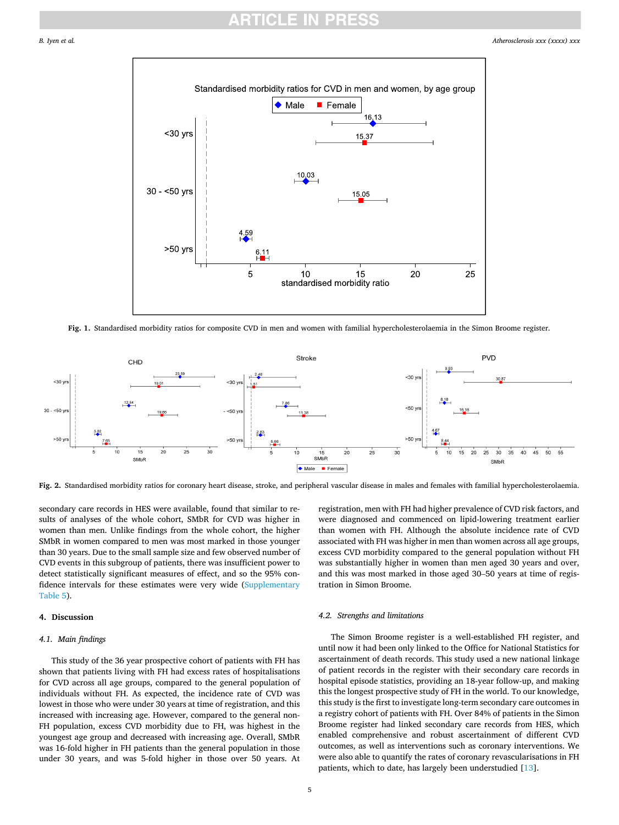*Atherosclerosis xxx (xxxx) xxx*

<span id="page-4-0"></span>

**Fig. 1.** Standardised morbidity ratios for composite CVD in men and women with familial hypercholesterolaemia in the Simon Broome register.



**Fig. 2.** Standardised morbidity ratios for coronary heart disease, stroke, and peripheral vascular disease in males and females with familial hypercholesterolaemia.

secondary care records in HES were available, found that similar to results of analyses of the whole cohort, SMbR for CVD was higher in women than men. Unlike findings from the whole cohort, the higher SMbR in women compared to men was most marked in those younger than 30 years. Due to the small sample size and few observed number of CVD events in this subgroup of patients, there was insufficient power to detect statistically significant measures of effect, and so the 95% confidence intervals for these estimates were very wide (Supplementary Table 5).

## **4. Discussion**

#### *4.1. Main findings*

This study of the 36 year prospective cohort of patients with FH has shown that patients living with FH had excess rates of hospitalisations for CVD across all age groups, compared to the general population of individuals without FH. As expected, the incidence rate of CVD was lowest in those who were under 30 years at time of registration, and this increased with increasing age. However, compared to the general non-FH population, excess CVD morbidity due to FH, was highest in the youngest age group and decreased with increasing age. Overall, SMbR was 16-fold higher in FH patients than the general population in those under 30 years, and was 5-fold higher in those over 50 years. At registration, men with FH had higher prevalence of CVD risk factors, and were diagnosed and commenced on lipid-lowering treatment earlier than women with FH. Although the absolute incidence rate of CVD associated with FH was higher in men than women across all age groups, excess CVD morbidity compared to the general population without FH was substantially higher in women than men aged 30 years and over, and this was most marked in those aged 30–50 years at time of registration in Simon Broome.

## *4.2. Strengths and limitations*

The Simon Broome register is a well-established FH register, and until now it had been only linked to the Office for National Statistics for ascertainment of death records. This study used a new national linkage of patient records in the register with their secondary care records in hospital episode statistics, providing an 18-year follow-up, and making this the longest prospective study of FH in the world. To our knowledge, this study is the first to investigate long-term secondary care outcomes in a registry cohort of patients with FH. Over 84% of patients in the Simon Broome register had linked secondary care records from HES, which enabled comprehensive and robust ascertainment of different CVD outcomes, as well as interventions such as coronary interventions. We were also able to quantify the rates of coronary revascularisations in FH patients, which to date, has largely been understudied [\[13](#page-6-0)].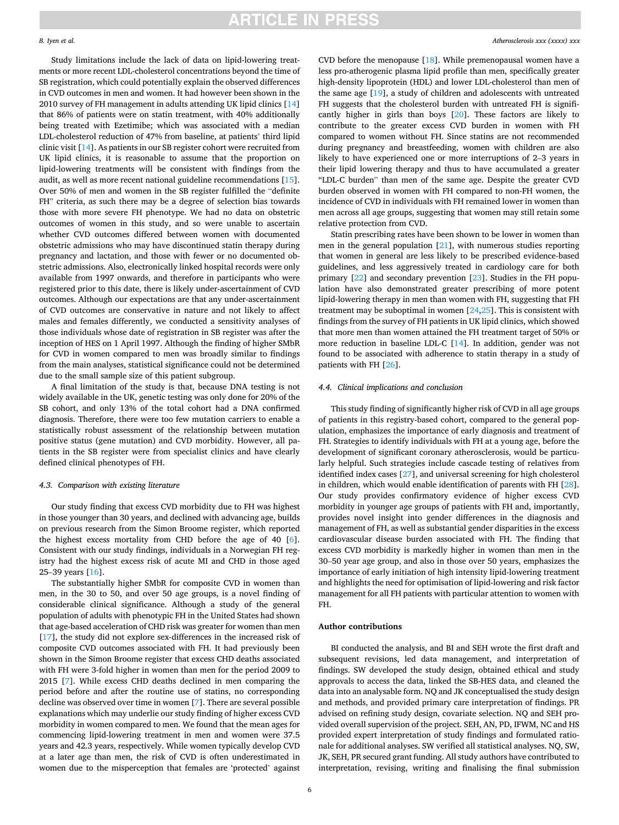# **ARTICLE IN PRESS**

#### *B. Iyen et al.*

Study limitations include the lack of data on lipid-lowering treatments or more recent LDL-cholesterol concentrations beyond the time of SB registration, which could potentially explain the observed differences in CVD outcomes in men and women. It had however been shown in the 2010 survey of FH management in adults attending UK lipid clinics [\[14](#page-6-0)] that 86% of patients were on statin treatment, with 40% additionally being treated with Ezetimibe; which was associated with a median LDL-cholesterol reduction of 47% from baseline, at patients' third lipid clinic visit [\[14](#page-6-0)]. As patients in our SB register cohort were recruited from UK lipid clinics, it is reasonable to assume that the proportion on lipid-lowering treatments will be consistent with findings from the audit, as well as more recent national guideline recommendations [\[15](#page-6-0)]. Over 50% of men and women in the SB register fulfilled the "definite FH" criteria, as such there may be a degree of selection bias towards those with more severe FH phenotype. We had no data on obstetric outcomes of women in this study, and so were unable to ascertain whether CVD outcomes differed between women with documented obstetric admissions who may have discontinued statin therapy during pregnancy and lactation, and those with fewer or no documented obstetric admissions. Also, electronically linked hospital records were only available from 1997 onwards, and therefore in participants who were registered prior to this date, there is likely under-ascertainment of CVD outcomes. Although our expectations are that any under-ascertainment of CVD outcomes are conservative in nature and not likely to affect males and females differently, we conducted a sensitivity analyses of those individuals whose date of registration in SB register was after the inception of HES on 1 April 1997. Although the finding of higher SMbR for CVD in women compared to men was broadly similar to findings from the main analyses, statistical significance could not be determined due to the small sample size of this patient subgroup.

A final limitation of the study is that, because DNA testing is not widely available in the UK, genetic testing was only done for 20% of the SB cohort, and only 13% of the total cohort had a DNA confirmed diagnosis. Therefore, there were too few mutation carriers to enable a statistically robust assessment of the relationship between mutation positive status (gene mutation) and CVD morbidity. However, all patients in the SB register were from specialist clinics and have clearly defined clinical phenotypes of FH.

## *4.3. Comparison with existing literature*

Our study finding that excess CVD morbidity due to FH was highest in those younger than 30 years, and declined with advancing age, builds on previous research from the Simon Broome register, which reported the highest excess mortality from CHD before the age of 40 [[6](#page-6-0)]. Consistent with our study findings, individuals in a Norwegian FH registry had the highest excess risk of acute MI and CHD in those aged 25–39 years [\[16](#page-6-0)].

The substantially higher SMbR for composite CVD in women than men, in the 30 to 50, and over 50 age groups, is a novel finding of considerable clinical significance. Although a study of the general population of adults with phenotypic FH in the United States had shown that age-based acceleration of CHD risk was greater for women than men [[17\]](#page-6-0), the study did not explore sex-differences in the increased risk of composite CVD outcomes associated with FH. It had previously been shown in the Simon Broome register that excess CHD deaths associated with FH were 3-fold higher in women than men for the period 2009 to 2015 [[7](#page-6-0)]. While excess CHD deaths declined in men comparing the period before and after the routine use of statins, no corresponding decline was observed over time in women [\[7\]](#page-6-0). There are several possible explanations which may underlie our study finding of higher excess CVD morbidity in women compared to men. We found that the mean ages for commencing lipid-lowering treatment in men and women were 37.5 years and 42.3 years, respectively. While women typically develop CVD at a later age than men, the risk of CVD is often underestimated in women due to the misperception that females are 'protected' against

CVD before the menopause  $[18]$  $[18]$ . While premenopausal women have a less pro-atherogenic plasma lipid profile than men, specifically greater high-density lipoprotein (HDL) and lower LDL-cholesterol than men of the same age [\[19](#page-6-0)], a study of children and adolescents with untreated FH suggests that the cholesterol burden with untreated FH is significantly higher in girls than boys [\[20](#page-6-0)]. These factors are likely to contribute to the greater excess CVD burden in women with FH compared to women without FH. Since statins are not recommended during pregnancy and breastfeeding, women with children are also likely to have experienced one or more interruptions of 2–3 years in their lipid lowering therapy and thus to have accumulated a greater "LDL-C burden" than men of the same age. Despite the greater CVD burden observed in women with FH compared to non-FH women, the incidence of CVD in individuals with FH remained lower in women than men across all age groups, suggesting that women may still retain some relative protection from CVD.

Statin prescribing rates have been shown to be lower in women than men in the general population [[21\]](#page-6-0), with numerous studies reporting that women in general are less likely to be prescribed evidence-based guidelines, and less aggressively treated in cardiology care for both primary [[22\]](#page-6-0) and secondary prevention [[23\]](#page-6-0). Studies in the FH population have also demonstrated greater prescribing of more potent lipid-lowering therapy in men than women with FH, suggesting that FH treatment may be suboptimal in women  $[24,25]$  $[24,25]$ . This is consistent with findings from the survey of FH patients in UK lipid clinics, which showed that more men than women attained the FH treatment target of 50% or more reduction in baseline LDL-C [\[14](#page-6-0)]. In addition, gender was not found to be associated with adherence to statin therapy in a study of patients with FH [\[26](#page-6-0)].

# *4.4. Clinical implications and conclusion*

This study finding of significantly higher risk of CVD in all age groups of patients in this registry-based cohort, compared to the general population, emphasizes the importance of early diagnosis and treatment of FH. Strategies to identify individuals with FH at a young age, before the development of significant coronary atherosclerosis, would be particularly helpful. Such strategies include cascade testing of relatives from identified index cases [\[27](#page-6-0)], and universal screening for high cholesterol in children, which would enable identification of parents with FH [\[28](#page-6-0)]. Our study provides confirmatory evidence of higher excess CVD morbidity in younger age groups of patients with FH and, importantly, provides novel insight into gender differences in the diagnosis and management of FH, as well as substantial gender disparities in the excess cardiovascular disease burden associated with FH. The finding that excess CVD morbidity is markedly higher in women than men in the 30–50 year age group, and also in those over 50 years, emphasizes the importance of early initiation of high intensity lipid-lowering treatment and highlights the need for optimisation of lipid-lowering and risk factor management for all FH patients with particular attention to women with FH.

## **Author contributions**

BI conducted the analysis, and BI and SEH wrote the first draft and subsequent revisions, led data management, and interpretation of findings. SW developed the study design, obtained ethical and study approvals to access the data, linked the SB-HES data, and cleaned the data into an analysable form. NQ and JK conceptualised the study design and methods, and provided primary care interpretation of findings. PR advised on refining study design, covariate selection. NQ and SEH provided overall supervision of the project. SEH, AN, PD, IFWM, NC and HS provided expert interpretation of study findings and formulated rationale for additional analyses. SW verified all statistical analyses. NQ, SW, JK, SEH, PR secured grant funding. All study authors have contributed to interpretation, revising, writing and finalising the final submission